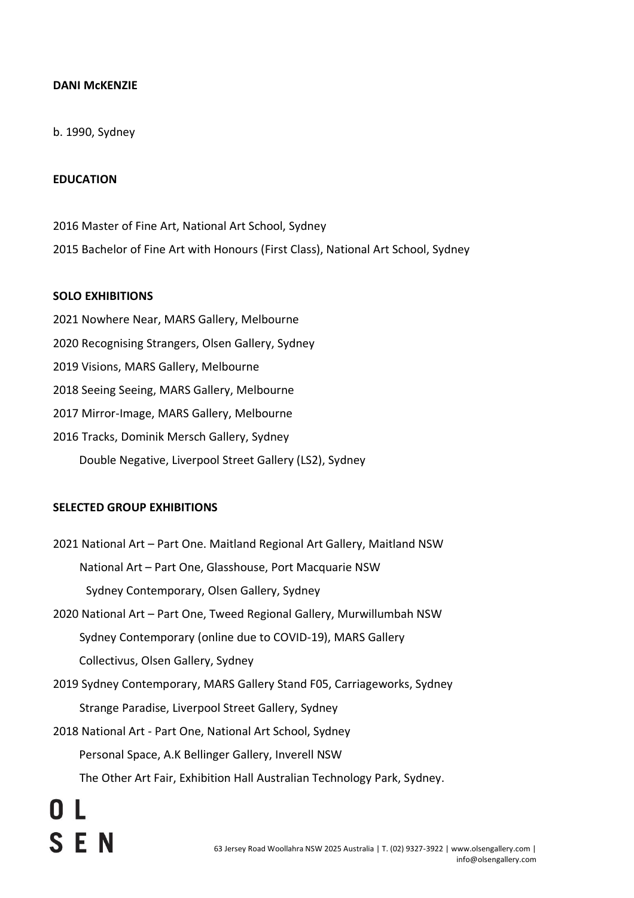## **DANI McKENZIE**

### b. 1990, Sydney

#### **EDUCATION**

2016 Master of Fine Art, National Art School, Sydney 2015 Bachelor of Fine Art with Honours (First Class), National Art School, Sydney

#### **SOLO EXHIBITIONS**

 Nowhere Near, MARS Gallery, Melbourne Recognising Strangers, Olsen Gallery, Sydney Visions, MARS Gallery, Melbourne Seeing Seeing, MARS Gallery, Melbourne Mirror-Image, MARS Gallery, Melbourne Tracks, Dominik Mersch Gallery, Sydney Double Negative, Liverpool Street Gallery (LS2), Sydney

#### **SELECTED GROUP EXHIBITIONS**

- 2021 National Art Part One. Maitland Regional Art Gallery, Maitland NSW National Art – Part One, Glasshouse, Port Macquarie NSW Sydney Contemporary, Olsen Gallery, Sydney
- 2020 National Art Part One, Tweed Regional Gallery, Murwillumbah NSW Sydney Contemporary (online due to COVID-19), MARS Gallery Collectivus, Olsen Gallery, Sydney
- 2019 Sydney Contemporary, MARS Gallery Stand F05, Carriageworks, Sydney Strange Paradise, Liverpool Street Gallery, Sydney
- 2018 National Art Part One, National Art School, Sydney
	- Personal Space, A.K Bellinger Gallery, Inverell NSW
	- The Other Art Fair, Exhibition Hall Australian Technology Park, Sydney.

**SEN**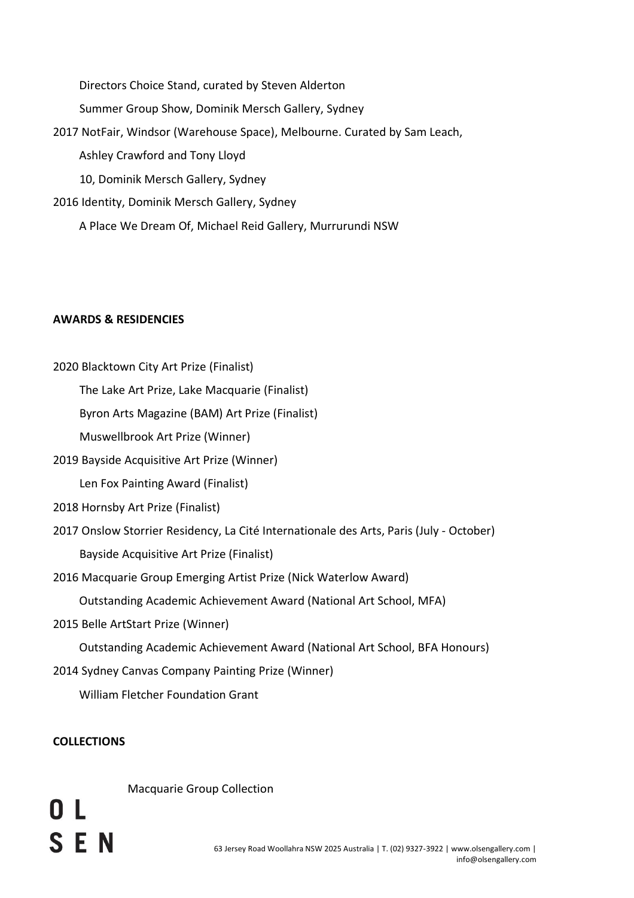Directors Choice Stand, curated by Steven Alderton

Summer Group Show, Dominik Mersch Gallery, Sydney

2017 NotFair, Windsor (Warehouse Space), Melbourne. Curated by Sam Leach,

Ashley Crawford and Tony Lloyd

10, Dominik Mersch Gallery, Sydney

2016 Identity, Dominik Mersch Gallery, Sydney

A Place We Dream Of, Michael Reid Gallery, Murrurundi NSW

## **AWARDS & RESIDENCIES**

2020 Blacktown City Art Prize (Finalist)

The Lake Art Prize, Lake Macquarie (Finalist)

Byron Arts Magazine (BAM) Art Prize (Finalist)

Muswellbrook Art Prize (Winner)

2019 Bayside Acquisitive Art Prize (Winner)

Len Fox Painting Award (Finalist)

- 2018 Hornsby Art Prize (Finalist)
- 2017 Onslow Storrier Residency, La Cité Internationale des Arts, Paris (July October) Bayside Acquisitive Art Prize (Finalist)
- 2016 Macquarie Group Emerging Artist Prize (Nick Waterlow Award)

Outstanding Academic Achievement Award (National Art School, MFA)

2015 Belle ArtStart Prize (Winner)

Outstanding Academic Achievement Award (National Art School, BFA Honours)

2014 Sydney Canvas Company Painting Prize (Winner)

William Fletcher Foundation Grant

# **COLLECTIONS**

**SEN** 

Macquarie Group Collection